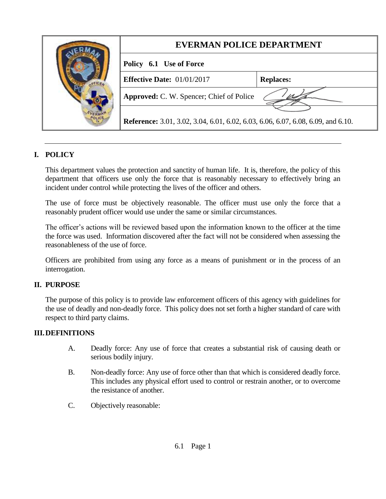|  | <b>EVERMAN POLICE DEPARTMENT</b>                                                        |                  |
|--|-----------------------------------------------------------------------------------------|------------------|
|  | Policy 6.1 Use of Force                                                                 |                  |
|  | <b>Effective Date:</b> $01/01/2017$                                                     | <b>Replaces:</b> |
|  | <b>Approved:</b> C. W. Spencer; Chief of Police                                         |                  |
|  | <b>Reference:</b> 3.01, 3.02, 3.04, 6.01, 6.02, 6.03, 6.06, 6.07, 6.08, 6.09, and 6.10. |                  |

# **I. POLICY**

This department values the protection and sanctity of human life. It is, therefore, the policy of this department that officers use only the force that is reasonably necessary to effectively bring an incident under control while protecting the lives of the officer and others.

The use of force must be objectively reasonable. The officer must use only the force that a reasonably prudent officer would use under the same or similar circumstances.

The officer's actions will be reviewed based upon the information known to the officer at the time the force was used. Information discovered after the fact will not be considered when assessing the reasonableness of the use of force.

Officers are prohibited from using any force as a means of punishment or in the process of an interrogation.

#### **II. PURPOSE**

The purpose of this policy is to provide law enforcement officers of this agency with guidelines for the use of deadly and non-deadly force. This policy does not set forth a higher standard of care with respect to third party claims.

#### **III.DEFINITIONS**

- A. Deadly force: Any use of force that creates a substantial risk of causing death or serious bodily injury.
- B. Non-deadly force: Any use of force other than that which is considered deadly force. This includes any physical effort used to control or restrain another, or to overcome the resistance of another.
- C. Objectively reasonable: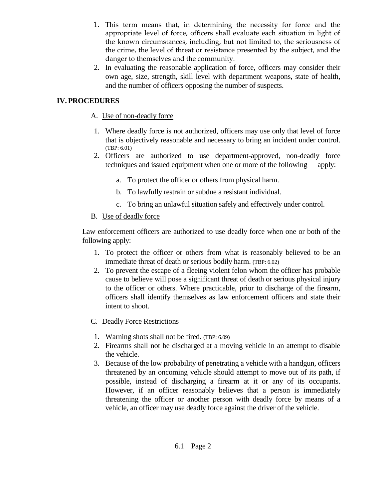- 1. This term means that, in determining the necessity for force and the appropriate level of force, officers shall evaluate each situation in light of the known circumstances, including, but not limited to, the seriousness of the crime, the level of threat or resistance presented by the subject, and the danger to themselves and the community.
- 2. In evaluating the reasonable application of force, officers may consider their own age, size, strength, skill level with department weapons, state of health, and the number of officers opposing the number of suspects.

# **IV. PROCEDURES**

#### A. Use of non-deadly force

- 1. Where deadly force is not authorized, officers may use only that level of force that is objectively reasonable and necessary to bring an incident under control. (TBP: 6.01)
- 2. Officers are authorized to use department-approved, non-deadly force techniques and issued equipment when one or more of the following apply:
	- a. To protect the officer or others from physical harm.
	- b. To lawfully restrain or subdue a resistant individual.
	- c. To bring an unlawful situation safely and effectively under control.

# B. Use of deadly force

Law enforcement officers are authorized to use deadly force when one or both of the following apply:

- 1. To protect the officer or others from what is reasonably believed to be an immediate threat of death or serious bodily harm. (TBP: 6.02)
- 2. To prevent the escape of a fleeing violent felon whom the officer has probable cause to believe will pose a significant threat of death or serious physical injury to the officer or others. Where practicable, prior to discharge of the firearm, officers shall identify themselves as law enforcement officers and state their intent to shoot.
- C. Deadly Force Restrictions
- 1. Warning shots shall not be fired. (TBP: 6.09)
- 2. Firearms shall not be discharged at a moving vehicle in an attempt to disable the vehicle.
- 3. Because of the low probability of penetrating a vehicle with a handgun, officers threatened by an oncoming vehicle should attempt to move out of its path, if possible, instead of discharging a firearm at it or any of its occupants. However, if an officer reasonably believes that a person is immediately threatening the officer or another person with deadly force by means of a vehicle, an officer may use deadly force against the driver of the vehicle.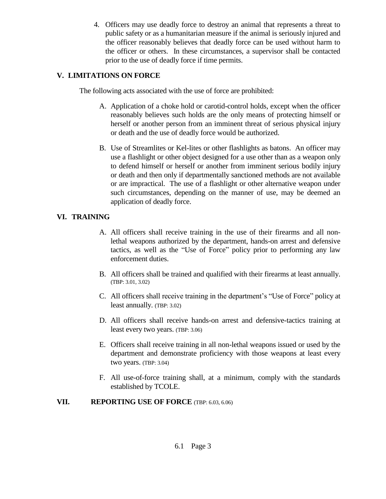4. Officers may use deadly force to destroy an animal that represents a threat to public safety or as a humanitarian measure if the animal is seriously injured and the officer reasonably believes that deadly force can be used without harm to the officer or others. In these circumstances, a supervisor shall be contacted prior to the use of deadly force if time permits.

#### **V. LIMITATIONS ON FORCE**

The following acts associated with the use of force are prohibited:

- A. Application of a choke hold or carotid-control holds, except when the officer reasonably believes such holds are the only means of protecting himself or herself or another person from an imminent threat of serious physical injury or death and the use of deadly force would be authorized.
- B. Use of Streamlites or Kel-lites or other flashlights as batons. An officer may use a flashlight or other object designed for a use other than as a weapon only to defend himself or herself or another from imminent serious bodily injury or death and then only if departmentally sanctioned methods are not available or are impractical. The use of a flashlight or other alternative weapon under such circumstances, depending on the manner of use, may be deemed an application of deadly force.

# **VI. TRAINING**

- A. All officers shall receive training in the use of their firearms and all nonlethal weapons authorized by the department, hands-on arrest and defensive tactics, as well as the "Use of Force" policy prior to performing any law enforcement duties.
- B. All officers shall be trained and qualified with their firearms at least annually. (TBP: 3.01, 3.02)
- C. All officers shall receive training in the department's "Use of Force" policy at least annually. (TBP: 3.02)
- D. All officers shall receive hands-on arrest and defensive-tactics training at least every two years. (TBP: 3.06)
- E. Officers shall receive training in all non-lethal weapons issued or used by the department and demonstrate proficiency with those weapons at least every two years. (TBP: 3.04)
- F. All use-of-force training shall, at a minimum, comply with the standards established by TCOLE.

# **VII. REPORTING USE OF FORCE** (TBP: 6.03, 6.06)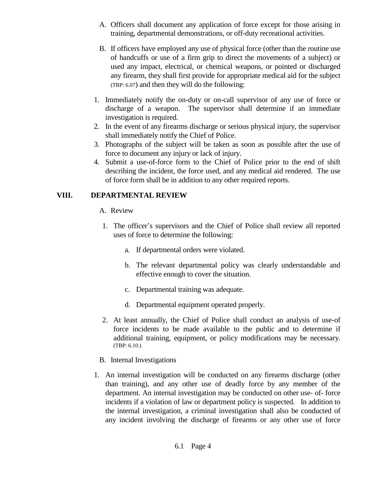- A. Officers shall document any application of force except for those arising in training, departmental demonstrations, or off-duty recreational activities.
- B. If officers have employed any use of physical force (other than the routine use of handcuffs or use of a firm grip to direct the movements of a subject) or used any impact, electrical, or chemical weapons, or pointed or discharged any firearm, they shall first provide for appropriate medical aid for the subject (TBP: 6.07) and then they will do the following:
- 1. Immediately notify the on-duty or on-call supervisor of any use of force or discharge of a weapon. The supervisor shall determine if an immediate investigation is required.
- 2. In the event of any firearms discharge or serious physical injury, the supervisor shall immediately notify the Chief of Police.
- 3. Photographs of the subject will be taken as soon as possible after the use of force to document any injury or lack of injury.
- 4. Submit a use-of-force form to the Chief of Police prior to the end of shift describing the incident, the force used, and any medical aid rendered. The use of force form shall be in addition to any other required reports.

# **VIII. DEPARTMENTAL REVIEW**

- A. Review
- 1. The officer's supervisors and the Chief of Police shall review all reported uses of force to determine the following:
	- a. If departmental orders were violated.
	- b. The relevant departmental policy was clearly understandable and effective enough to cover the situation.
	- c. Departmental training was adequate.
	- d. Departmental equipment operated properly.
- 2. At least annually, the Chief of Police shall conduct an analysis of use-of force incidents to be made available to the public and to determine if additional training, equipment, or policy modifications may be necessary. (TBP: 6.10.)
- B. Internal Investigations
- 1. An internal investigation will be conducted on any firearms discharge (other than training), and any other use of deadly force by any member of the department. An internal investigation may be conducted on other use- of- force incidents if a violation of law or department policy is suspected. In addition to the internal investigation, a criminal investigation shall also be conducted of any incident involving the discharge of firearms or any other use of force